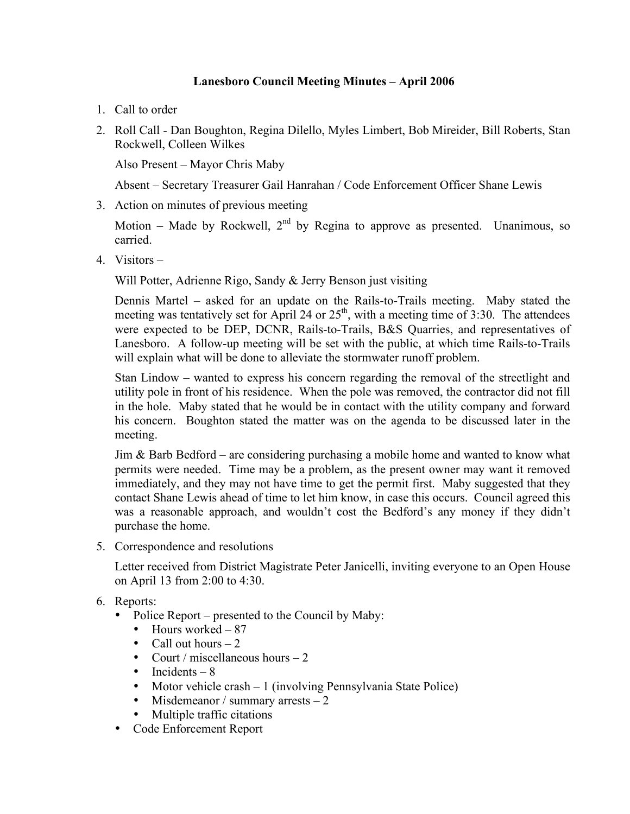## **Lanesboro Council Meeting Minutes – April 2006**

- 1. Call to order
- 2. Roll Call Dan Boughton, Regina Dilello, Myles Limbert, Bob Mireider, Bill Roberts, Stan Rockwell, Colleen Wilkes

Also Present – Mayor Chris Maby

Absent – Secretary Treasurer Gail Hanrahan / Code Enforcement Officer Shane Lewis

3. Action on minutes of previous meeting

Motion – Made by Rockwell,  $2<sup>nd</sup>$  by Regina to approve as presented. Unanimous, so carried.

4. Visitors –

Will Potter, Adrienne Rigo, Sandy & Jerry Benson just visiting

Dennis Martel – asked for an update on the Rails-to-Trails meeting. Maby stated the meeting was tentatively set for April 24 or  $25<sup>th</sup>$ , with a meeting time of 3:30. The attendees were expected to be DEP, DCNR, Rails-to-Trails, B&S Quarries, and representatives of Lanesboro. A follow-up meeting will be set with the public, at which time Rails-to-Trails will explain what will be done to alleviate the stormwater runoff problem.

Stan Lindow – wanted to express his concern regarding the removal of the streetlight and utility pole in front of his residence. When the pole was removed, the contractor did not fill in the hole. Maby stated that he would be in contact with the utility company and forward his concern. Boughton stated the matter was on the agenda to be discussed later in the meeting.

Jim & Barb Bedford – are considering purchasing a mobile home and wanted to know what permits were needed. Time may be a problem, as the present owner may want it removed immediately, and they may not have time to get the permit first. Maby suggested that they contact Shane Lewis ahead of time to let him know, in case this occurs. Council agreed this was a reasonable approach, and wouldn't cost the Bedford's any money if they didn't purchase the home.

5. Correspondence and resolutions

Letter received from District Magistrate Peter Janicelli, inviting everyone to an Open House on April 13 from 2:00 to 4:30.

- 6. Reports:
	- Police Report presented to the Council by Maby:
		- Hours worked 87
		- Call out hours  $-2$
		- Court / miscellaneous hours  $-2$
		- Incidents  $-8$
		- Motor vehicle crash 1 (involving Pennsylvania State Police)
		- Misdemeanor / summary arrests  $-2$
		- Multiple traffic citations
	- Code Enforcement Report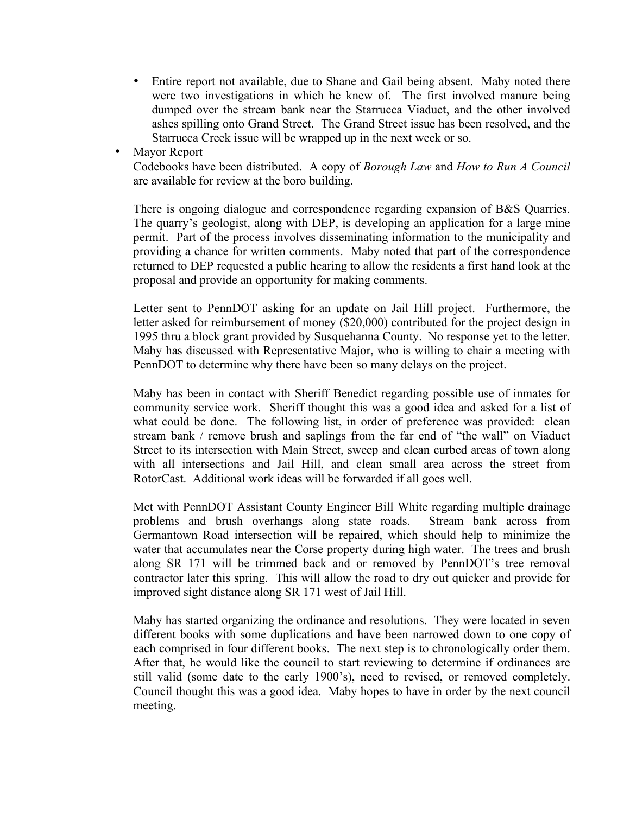- Entire report not available, due to Shane and Gail being absent. Maby noted there were two investigations in which he knew of. The first involved manure being dumped over the stream bank near the Starrucca Viaduct, and the other involved ashes spilling onto Grand Street. The Grand Street issue has been resolved, and the Starrucca Creek issue will be wrapped up in the next week or so.
- Mayor Report

Codebooks have been distributed. A copy of *Borough Law* and *How to Run A Council* are available for review at the boro building.

There is ongoing dialogue and correspondence regarding expansion of B&S Quarries. The quarry's geologist, along with DEP, is developing an application for a large mine permit. Part of the process involves disseminating information to the municipality and providing a chance for written comments. Maby noted that part of the correspondence returned to DEP requested a public hearing to allow the residents a first hand look at the proposal and provide an opportunity for making comments.

Letter sent to PennDOT asking for an update on Jail Hill project. Furthermore, the letter asked for reimbursement of money (\$20,000) contributed for the project design in 1995 thru a block grant provided by Susquehanna County. No response yet to the letter. Maby has discussed with Representative Major, who is willing to chair a meeting with PennDOT to determine why there have been so many delays on the project.

Maby has been in contact with Sheriff Benedict regarding possible use of inmates for community service work. Sheriff thought this was a good idea and asked for a list of what could be done. The following list, in order of preference was provided: clean stream bank / remove brush and saplings from the far end of "the wall" on Viaduct Street to its intersection with Main Street, sweep and clean curbed areas of town along with all intersections and Jail Hill, and clean small area across the street from RotorCast. Additional work ideas will be forwarded if all goes well.

Met with PennDOT Assistant County Engineer Bill White regarding multiple drainage problems and brush overhangs along state roads. Stream bank across from Germantown Road intersection will be repaired, which should help to minimize the water that accumulates near the Corse property during high water. The trees and brush along SR 171 will be trimmed back and or removed by PennDOT's tree removal contractor later this spring. This will allow the road to dry out quicker and provide for improved sight distance along SR 171 west of Jail Hill.

Maby has started organizing the ordinance and resolutions. They were located in seven different books with some duplications and have been narrowed down to one copy of each comprised in four different books. The next step is to chronologically order them. After that, he would like the council to start reviewing to determine if ordinances are still valid (some date to the early 1900's), need to revised, or removed completely. Council thought this was a good idea. Maby hopes to have in order by the next council meeting.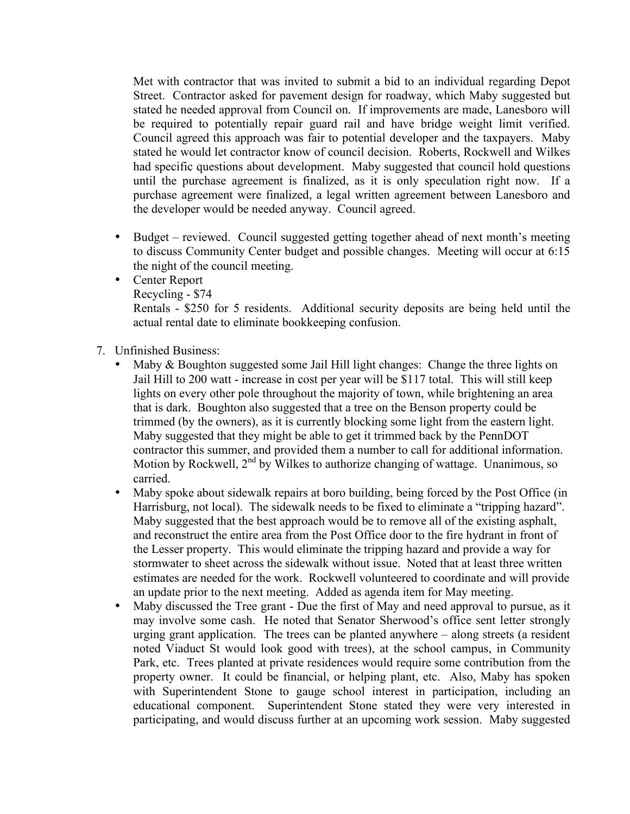Met with contractor that was invited to submit a bid to an individual regarding Depot Street. Contractor asked for pavement design for roadway, which Maby suggested but stated he needed approval from Council on. If improvements are made, Lanesboro will be required to potentially repair guard rail and have bridge weight limit verified. Council agreed this approach was fair to potential developer and the taxpayers. Maby stated he would let contractor know of council decision. Roberts, Rockwell and Wilkes had specific questions about development. Maby suggested that council hold questions until the purchase agreement is finalized, as it is only speculation right now. If a purchase agreement were finalized, a legal written agreement between Lanesboro and the developer would be needed anyway. Council agreed.

- Budget reviewed. Council suggested getting together ahead of next month's meeting to discuss Community Center budget and possible changes. Meeting will occur at 6:15 the night of the council meeting.
- Center Report
	- Recycling \$74

Rentals - \$250 for 5 residents. Additional security deposits are being held until the actual rental date to eliminate bookkeeping confusion.

- 7. Unfinished Business:
	- Maby & Boughton suggested some Jail Hill light changes: Change the three lights on Jail Hill to 200 watt - increase in cost per year will be \$117 total. This will still keep lights on every other pole throughout the majority of town, while brightening an area that is dark. Boughton also suggested that a tree on the Benson property could be trimmed (by the owners), as it is currently blocking some light from the eastern light. Maby suggested that they might be able to get it trimmed back by the PennDOT contractor this summer, and provided them a number to call for additional information. Motion by Rockwell,  $2^{nd}$  by Wilkes to authorize changing of wattage. Unanimous, so carried.
	- Maby spoke about sidewalk repairs at boro building, being forced by the Post Office (in Harrisburg, not local). The sidewalk needs to be fixed to eliminate a "tripping hazard". Maby suggested that the best approach would be to remove all of the existing asphalt, and reconstruct the entire area from the Post Office door to the fire hydrant in front of the Lesser property. This would eliminate the tripping hazard and provide a way for stormwater to sheet across the sidewalk without issue. Noted that at least three written estimates are needed for the work. Rockwell volunteered to coordinate and will provide an update prior to the next meeting. Added as agenda item for May meeting.
	- Maby discussed the Tree grant Due the first of May and need approval to pursue, as it may involve some cash. He noted that Senator Sherwood's office sent letter strongly urging grant application. The trees can be planted anywhere – along streets (a resident noted Viaduct St would look good with trees), at the school campus, in Community Park, etc. Trees planted at private residences would require some contribution from the property owner. It could be financial, or helping plant, etc. Also, Maby has spoken with Superintendent Stone to gauge school interest in participation, including an educational component. Superintendent Stone stated they were very interested in participating, and would discuss further at an upcoming work session. Maby suggested